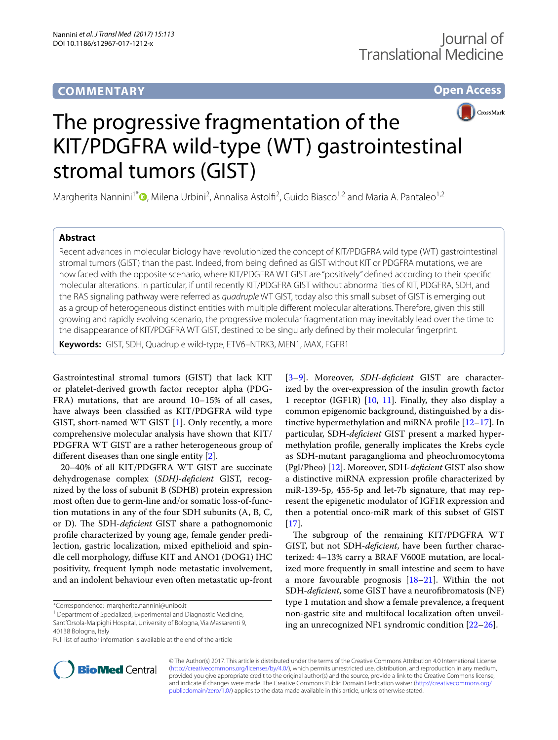## **COMMENTARY**

**Open Access**



# The progressive fragmentation of the KIT/PDGFRA wild-type (WT) gastrointestinal stromal tumors (GIST)

Margherita Nannini<sup>1\*</sup><sup>®</sup>[,](http://orcid.org/0000-0002-2103-1960) Milena Urbini<sup>2</sup>, Annalisa Astolfi<sup>2</sup>, Guido Biasco<sup>1,2</sup> and Maria A. Pantaleo<sup>1,2</sup>

### **Abstract**

Recent advances in molecular biology have revolutionized the concept of KIT/PDGFRA wild type (WT) gastrointestinal stromal tumors (GIST) than the past. Indeed, from being defned as GIST without KIT or PDGFRA mutations, we are now faced with the opposite scenario, where KIT/PDGFRA WT GIST are "positively" defned according to their specifc molecular alterations. In particular, if until recently KIT/PDGFRA GIST without abnormalities of KIT, PDGFRA, SDH, and the RAS signaling pathway were referred as *quadruple* WT GIST, today also this small subset of GIST is emerging out as a group of heterogeneous distinct entities with multiple diferent molecular alterations. Therefore, given this still growing and rapidly evolving scenario, the progressive molecular fragmentation may inevitably lead over the time to the disappearance of KIT/PDGFRA WT GIST, destined to be singularly defned by their molecular fngerprint.

**Keywords:** GIST, SDH, Quadruple wild-type, ETV6–NTRK3, MEN1, MAX, FGFR1

Gastrointestinal stromal tumors (GIST) that lack KIT or platelet-derived growth factor receptor alpha (PDG-FRA) mutations, that are around 10–15% of all cases, have always been classifed as KIT/PDGFRA wild type GIST, short-named WT GIST [\[1](#page-2-0)]. Only recently, a more comprehensive molecular analysis have shown that KIT/ PDGFRA WT GIST are a rather heterogeneous group of diferent diseases than one single entity [\[2](#page-2-1)].

20–40% of all KIT/PDGFRA WT GIST are succinate dehydrogenase complex (*SDH)*-*defcient* GIST, recognized by the loss of subunit B (SDHB) protein expression most often due to germ-line and/or somatic loss-of-function mutations in any of the four SDH subunits (A, B, C, or D). The SDH-*deficient* GIST share a pathognomonic profle characterized by young age, female gender predilection, gastric localization, mixed epithelioid and spindle cell morphology, difuse KIT and ANO1 (DOG1) IHC positivity, frequent lymph node metastatic involvement, and an indolent behaviour even often metastatic up-front

<sup>1</sup> Department of Specialized, Experimental and Diagnostic Medicine, Sant'Orsola-Malpighi Hospital, University of Bologna, Via Massarenti 9, 40138 Bologna, Italy

[[3–](#page-2-2)[9\]](#page-2-3). Moreover, *SDH*-*defcient* GIST are characterized by the over-expression of the insulin growth factor 1 receptor (IGF1R) [\[10](#page-2-4), [11](#page-2-5)]. Finally, they also display a common epigenomic background, distinguished by a distinctive hypermethylation and miRNA profle [\[12](#page-2-6)[–17](#page-2-7)]. In particular, SDH-*defcient* GIST present a marked hypermethylation profle, generally implicates the Krebs cycle as SDH-mutant paraganglioma and pheochromocytoma (Pgl/Pheo) [\[12](#page-2-6)]. Moreover, SDH-*defcient* GIST also show a distinctive miRNA expression profle characterized by miR-139-5p, 455-5p and let-7b signature, that may represent the epigenetic modulator of IGF1R expression and then a potential onco-miR mark of this subset of GIST  $[17]$  $[17]$ .

The subgroup of the remaining KIT/PDGFRA WT GIST, but not SDH-*defcient*, have been further characterized: 4–13% carry a BRAF V600E mutation, are localized more frequently in small intestine and seem to have a more favourable prognosis [[18–](#page-2-8)[21](#page-2-9)]. Within the not SDH-*defcient*, some GIST have a neurofbromatosis (NF) type 1 mutation and show a female prevalence, a frequent non-gastric site and multifocal localization often unveiling an unrecognized NF1 syndromic condition [[22–](#page-2-10)[26](#page-3-0)].



© The Author(s) 2017. This article is distributed under the terms of the Creative Commons Attribution 4.0 International License [\(http://creativecommons.org/licenses/by/4.0/\)](http://creativecommons.org/licenses/by/4.0/), which permits unrestricted use, distribution, and reproduction in any medium, provided you give appropriate credit to the original author(s) and the source, provide a link to the Creative Commons license, and indicate if changes were made. The Creative Commons Public Domain Dedication waiver ([http://creativecommons.org/](http://creativecommons.org/publicdomain/zero/1.0/) [publicdomain/zero/1.0/](http://creativecommons.org/publicdomain/zero/1.0/)) applies to the data made available in this article, unless otherwise stated.

<sup>\*</sup>Correspondence: margherita.nannini@unibo.it

Full list of author information is available at the end of the article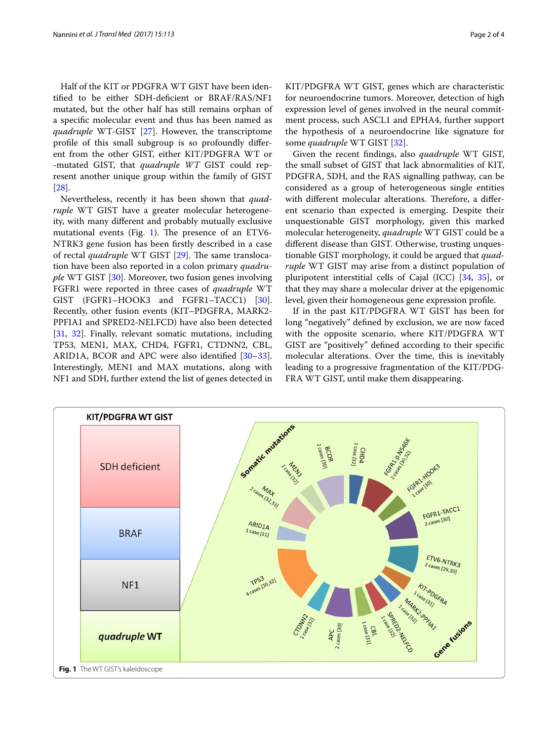Half of the KIT or PDGFRA WT GIST have been identifed to be either SDH-defcient or BRAF/RAS/NF1 mutated, but the other half has still remains orphan of a specifc molecular event and thus has been named as *quadruple* WT-GIST [[27\]](#page-3-1). However, the transcriptome profle of this small subgroup is so profoundly diferent from the other GIST, either KIT/PDGFRA WT or -mutated GIST, that *quadruple WT* GIST could represent another unique group within the family of GIST [[28\]](#page-3-2).

Nevertheless, recently it has been shown that *quadruple* WT GIST have a greater molecular heterogeneity, with many diferent and probably mutually exclusive mutational events (Fig. [1\)](#page-1-0). The presence of an ETV6-NTRK3 gene fusion has been frstly described in a case of rectal *quadruple* WT GIST [\[29](#page-3-3)]. The same translocation have been also reported in a colon primary *quadruple* WT GIST [[30\]](#page-3-4). Moreover, two fusion genes involving FGFR1 were reported in three cases of *quadruple* WT GIST (FGFR1–HOOK3 and FGFR1–TACC1) [\[30](#page-3-4)]. Recently, other fusion events (KIT–PDGFRA, MARK2- PPFIA1 and SPRED2-NELFCD) have also been detected [[31,](#page-3-5) [32](#page-3-6)]. Finally, relevant somatic mutations, including TP53, MEN1, MAX, CHD4, FGFR1, CTDNN2, CBL, ARID1A, BCOR and APC were also identifed [[30](#page-3-4)[–33](#page-3-7)]. Interestingly, MEN1 and MAX mutations, along with NF1 and SDH, further extend the list of genes detected in

KIT/PDGFRA WT GIST, genes which are characteristic for neuroendocrine tumors. Moreover, detection of high expression level of genes involved in the neural commitment process, such ASCL1 and EPHA4, further support the hypothesis of a neuroendocrine like signature for some *quadruple* WT GIST [\[32](#page-3-6)].

Given the recent fndings, also *quadruple* WT GIST, the small subset of GIST that lack abnormalities of KIT, PDGFRA, SDH, and the RAS signalling pathway, can be considered as a group of heterogeneous single entities with different molecular alterations. Therefore, a different scenario than expected is emerging. Despite their unquestionable GIST morphology, given this marked molecular heterogeneity, *quadruple* WT GIST could be a diferent disease than GIST. Otherwise, trusting unquestionable GIST morphology, it could be argued that *quadruple* WT GIST may arise from a distinct population of pluripotent interstitial cells of Cajal (ICC) [\[34](#page-3-8), [35\]](#page-3-9), or that they may share a molecular driver at the epigenomic level, given their homogeneous gene expression profle.

If in the past KIT/PDGFRA WT GIST has been for long "negatively" defned by exclusion, we are now faced with the opposite scenario, where KIT/PDGFRA WT GIST are "positively" defned according to their specifc molecular alterations. Over the time, this is inevitably leading to a progressive fragmentation of the KIT/PDG-FRA WT GIST, until make them disappearing.

<span id="page-1-0"></span>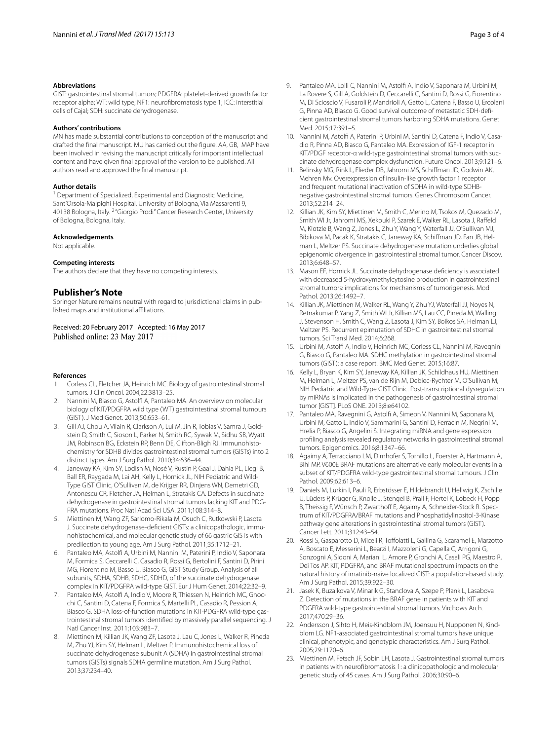#### **Abbreviations**

GIST: gastrointestinal stromal tumors; PDGFRA: platelet-derived growth factor receptor alpha; WT: wild type; NF1: neurofbromatosis type 1; ICC: interstitial cells of Cajal; SDH: succinate dehydrogenase.

#### **Authors' contributions**

MN has made substantial contributions to conception of the manuscript and drafted the fnal manuscript. MU has carried out the fgure. AA, GB, MAP have been involved in revising the manuscript critically for important intellectual content and have given fnal approval of the version to be published. All authors read and approved the fnal manuscript.

#### **Author details**

<sup>1</sup> Department of Specialized, Experimental and Diagnostic Medicine, Sant'Orsola-Malpighi Hospital, University of Bologna, Via Massarenti 9, 40138 Bologna, Italy. <sup>2</sup> "Giorgio Prodi" Cancer Research Center, University of Bologna, Bologna, Italy.

#### **Acknowledgements**

Not applicable.

#### **Competing interests**

The authors declare that they have no competing interests.

#### **Publisher's Note**

Springer Nature remains neutral with regard to jurisdictional claims in published maps and institutional afliations.

Received: 20 February 2017 Accepted: 16 May 2017 Published online: 23 May 2017

#### **References**

- <span id="page-2-0"></span>1. Corless CL, Fletcher JA, Heinrich MC. Biology of gastrointestinal stromal tumors. J Clin Oncol. 2004;22:3813–25.
- <span id="page-2-1"></span>2. Nannini M, Biasco G, Astolf A, Pantaleo MA. An overview on molecular biology of KIT/PDGFRA wild type (WT) gastrointestinal stromal tumours (GIST). J Med Genet. 2013;50:653–61.
- <span id="page-2-2"></span>3. Gill AJ, Chou A, Vilain R, Clarkson A, Lui M, Jin R, Tobias V, Samra J, Goldstein D, Smith C, Sioson L, Parker N, Smith RC, Sywak M, Sidhu SB, Wyatt JM, Robinson BG, Eckstein RP, Benn DE, Clifton-Bligh RJ. Immunohistochemistry for SDHB divides gastrointestinal stromal tumors (GISTs) into 2 distinct types. Am J Surg Pathol. 2010;34:636–44.
- Janeway KA, Kim SY, Lodish M, Nosé V, Rustin P, Gaal J, Dahia PL, Liegl B, Ball ER, Raygada M, Lai AH, Kelly L, Hornick JL, NIH Pediatric and Wild-Type GIST Clinic, O'Sullivan M, de Krijger RR, Dinjens WN, Demetri GD, Antonescu CR, Fletcher JA, Helman L, Stratakis CA. Defects in succinate dehydrogenase in gastrointestinal stromal tumors lacking KIT and PDG-FRA mutations. Proc Natl Acad Sci USA. 2011;108:314–8.
- 5. Miettinen M, Wang ZF, Sarlomo-Rikala M, Osuch C, Rutkowski P, Lasota J. Succinate dehydrogenase-defcient GISTs: a clinicopathologic, immunohistochemical, and molecular genetic study of 66 gastric GISTs with predilection to young age. Am J Surg Pathol. 2011;35:1712–21.
- 6. Pantaleo MA, Astolf A, Urbini M, Nannini M, Paterini P, Indio V, Saponara M, Formica S, Ceccarelli C, Casadio R, Rossi G, Bertolini F, Santini D, Pirini MG, Fiorentino M, Basso U, Biasco G, GIST Study Group. Analysis of all subunits, SDHA, SDHB, SDHC, SDHD, of the succinate dehydrogenase complex in KIT/PDGFRA wild-type GIST. Eur J Hum Genet. 2014;22:32–9.
- 7. Pantaleo MA, Astolf A, Indio V, Moore R, Thiessen N, Heinrich MC, Gnocchi C, Santini D, Catena F, Formica S, Martelli PL, Casadio R, Pession A, Biasco G. SDHA loss-of-function mutations in KIT-PDGFRA wild-type gastrointestinal stromal tumors identifed by massively parallel sequencing. J Natl Cancer Inst. 2011;103:983–7.
- 8. Miettinen M, Killian JK, Wang ZF, Lasota J, Lau C, Jones L, Walker R, Pineda M, Zhu YJ, Kim SY, Helman L, Meltzer P. Immunohistochemical loss of succinate dehydrogenase subunit A (SDHA) in gastrointestinal stromal tumors (GISTs) signals SDHA germline mutation. Am J Surg Pathol. 2013;37:234–40.
- <span id="page-2-3"></span>9. Pantaleo MA, Lolli C, Nannini M, Astolf A, Indio V, Saponara M, Urbini M, La Rovere S, Gill A, Goldstein D, Ceccarelli C, Santini D, Rossi G, Fiorentino M, Di Scioscio V, Fusaroli P, Mandrioli A, Gatto L, Catena F, Basso U, Ercolani G, Pinna AD, Biasco G. Good survival outcome of metastatic SDH-defcient gastrointestinal stromal tumors harboring SDHA mutations. Genet Med. 2015;17:391–5.
- <span id="page-2-4"></span>10. Nannini M, Astolf A, Paterini P, Urbini M, Santini D, Catena F, Indio V, Casadio R, Pinna AD, Biasco G, Pantaleo MA. Expression of IGF-1 receptor in KIT/PDGF receptor-α wild-type gastrointestinal stromal tumors with succinate dehydrogenase complex dysfunction. Future Oncol. 2013;9:121–6.
- <span id="page-2-5"></span>11. Belinsky MG, Rink L, Flieder DB, Jahromi MS, Schifman JD, Godwin AK, Mehren Mv. Overexpression of insulin-like growth factor 1 receptor and frequent mutational inactivation of SDHA in wild-type SDHBnegative gastrointestinal stromal tumors. Genes Chromosom Cancer. 2013;52:214–24.
- <span id="page-2-6"></span>12. Killian JK, Kim SY, Miettinen M, Smith C, Merino M, Tsokos M, Quezado M, Smith WI Jr, Jahromi MS, Xekouki P, Szarek E, Walker RL, Lasota J, Rafeld M, Klotzle B, Wang Z, Jones L, Zhu Y, Wang Y, Waterfall JJ, O'Sullivan MJ, Bibikova M, Pacak K, Stratakis C, Janeway KA, Schifman JD, Fan JB, Helman L, Meltzer PS. Succinate dehydrogenase mutation underlies global epigenomic divergence in gastrointestinal stromal tumor. Cancer Discov. 2013;6:648–57.
- 13. Mason EF, Hornick JL. Succinate dehydrogenase defciency is associated with decreased 5-hydroxymethylcytosine production in gastrointestinal stromal tumors: implications for mechanisms of tumorigenesis. Mod Pathol. 2013;26:1492–7.
- 14. Killian JK, Miettinen M, Walker RL, Wang Y, Zhu YJ, Waterfall JJ, Noyes N, Retnakumar P, Yang Z, Smith WI Jr, Killian MS, Lau CC, Pineda M, Walling J, Stevenson H, Smith C, Wang Z, Lasota J, Kim SY, Boikos SA, Helman LJ, Meltzer PS. Recurrent epimutation of SDHC in gastrointestinal stromal tumors. Sci Transl Med. 2014;6:268.
- 15. Urbini M, Astolf A, Indio V, Heinrich MC, Corless CL, Nannini M, Ravegnini G, Biasco G, Pantaleo MA. SDHC methylation in gastrointestinal stromal tumors (GIST): a case report. BMC Med Genet. 2015;16:87.
- 16. Kelly L, Bryan K, Kim SY, Janeway KA, Killian JK, Schildhaus HU, Miettinen M, Helman L, Meltzer PS, van de Rijn M, Debiec-Rychter M, O'Sullivan M, NIH Pediatric and Wild-Type GIST Clinic. Post-transcriptional dysregulation by miRNAs is implicated in the pathogenesis of gastrointestinal stromal tumor [GIST]. PLoS ONE. 2013;8:e64102.
- <span id="page-2-7"></span>17. Pantaleo MA, Ravegnini G, Astolf A, Simeon V, Nannini M, Saponara M, Urbini M, Gatto L, Indio V, Sammarini G, Santini D, Ferracin M, Negrini M, Hrelia P, Biasco G, Angelini S. Integrating miRNA and gene expression profling analysis revealed regulatory networks in gastrointestinal stromal tumors. Epigenomics. 2016;8:1347–66.
- <span id="page-2-8"></span>18. Agaimy A, Terracciano LM, Dirnhofer S, Tornillo L, Foerster A, Hartmann A, Bihl MP. V600E BRAF mutations are alternative early molecular events in a subset of KIT/PDGFRA wild-type gastrointestinal stromal tumours. J Clin Pathol. 2009;62:613–6.
- 19. Daniels M, Lurkin I, Pauli R, Erbstösser E, Hildebrandt U, Hellwig K, Zschille U, Lüders P, Krüger G, Knolle J, Stengel B, Prall F, Hertel K, Lobeck H, Popp B, Theissig F, Wünsch P, Zwarthoff E, Agaimy A, Schneider-Stock R. Spectrum of KIT/PDGFRA/BRAF mutations and Phosphatidylinositol-3-Kinase pathway gene alterations in gastrointestinal stromal tumors (GIST). Cancer Lett. 2011;312:43–54.
- 20. Rossi S, Gasparotto D, Miceli R, Toffolatti L, Gallina G, Scaramel E, Marzotto A, Boscato E, Messerini L, Bearzi I, Mazzoleni G, Capella C, Arrigoni G, Sonzogni A, Sidoni A, Mariani L, Amore P, Gronchi A, Casali PG, Maestro R, Dei Tos AP. KIT, PDGFRA, and BRAF mutational spectrum impacts on the natural history of imatinib-naive localized GIST: a population-based study. Am J Surg Pathol. 2015;39:922–30.
- <span id="page-2-9"></span>21. Jasek K, Buzalkova V, Minarik G, Stanclova A, Szepe P, Plank L, Lasabova Z. Detection of mutations in the BRAF gene in patients with KIT and PDGFRA wild-type gastrointestinal stromal tumors. Virchows Arch. 2017;470:29–36.
- <span id="page-2-10"></span>22. Andersson J, Sihto H, Meis-Kindblom JM, Joensuu H, Nupponen N, Kindblom LG. NF1-associated gastrointestinal stromal tumors have unique clinical, phenotypic, and genotypic characteristics. Am J Surg Pathol. 2005;29:1170–6.
- 23. Miettinen M, Fetsch JF, Sobin LH, Lasota J. Gastrointestinal stromal tumors in patients with neurofbromatosis 1: a clinicopathologic and molecular genetic study of 45 cases. Am J Surg Pathol. 2006;30:90–6.